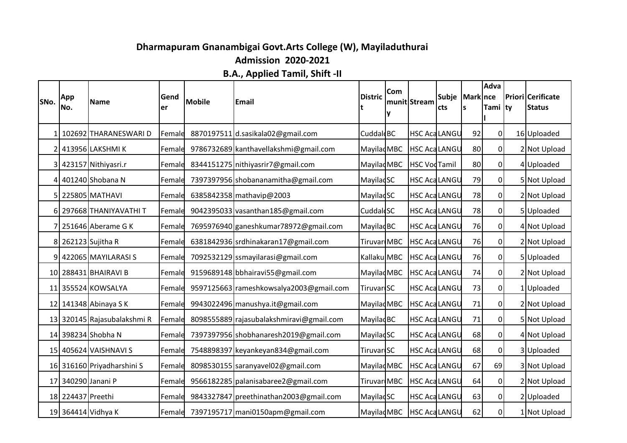## **Dharmapuram Gnanambigai Govt.Arts College (W), Mayiladuthurai Admission 2020-2021**

**B.A., Applied Tamil, Shift -II**

| <b>SNo.</b>     | App<br>No.        | Name                        | Gend<br>ler | <b>Mobile</b> | <b>Email</b>                             | <b>Distric</b>         | Com | munit Stream         | Subje<br>cts | <b>Mark</b> nce<br>ls | Adva<br>Tami ty | <b>Priori Cerificate</b><br><b>Status</b> |
|-----------------|-------------------|-----------------------------|-------------|---------------|------------------------------------------|------------------------|-----|----------------------|--------------|-----------------------|-----------------|-------------------------------------------|
|                 |                   |                             |             |               |                                          |                        | ν   |                      |              |                       |                 |                                           |
| 1 <sup>1</sup>  |                   | 102692 THARANESWARI D       | Female      |               | 8870197511 d.sasikala02@gmail.com        | Cuddal BC              |     | <b>HSC AcaLANGU</b>  |              | 92                    | $\overline{0}$  | 16 Uploaded                               |
| $\overline{2}$  |                   | 413956 LAKSHMI K            | Female      |               | 9786732689 kanthavellakshmi@gmail.com    | Mayilad MBC            |     | <b>HSC Aca LANGU</b> |              | 80                    | 0               | 2 Not Upload                              |
|                 |                   | 3 423157 Nithiyasri.r       | Female      |               | 8344151275 nithiyasrir7@gmail.com        | Mayilad MBC            |     | <b>HSC VodTamil</b>  |              | 80                    | 0l              | 4Uploaded                                 |
|                 |                   | 4 401240 Shobana N          | Female      |               | 7397397956 shobananamitha@gmail.com      | MayiladSC              |     | <b>HSC AcaLANGU</b>  |              | 79                    | $\overline{0}$  | 5 Not Upload                              |
| 51              |                   | 225805 MATHAVI              | Female      |               | 6385842358 mathavip@2003                 | MayiladSC              |     | <b>HSC Aca LANGU</b> |              | 78                    | 0               | 2 Not Upload                              |
| 61              |                   | 297668 THANIYAVATHI T       | Female      |               | 9042395033 vasanthan185@gmail.com        | Cuddal SC              |     | <b>HSC AcaLANGU</b>  |              | 78                    | $\overline{0}$  | 5 Uploaded                                |
|                 |                   | 7 251646 Aberame G K        | Female      |               | 7695976940 ganeshkumar 78972@gmail.com   | Mayilad <sub>BC</sub>  |     | <b>HSC Aca LANGU</b> |              | 76                    | 0               | 4 Not Upload                              |
|                 |                   | 8 262123 Sujitha R          | Female      |               | 6381842936 srdhinakaran17@gmail.com      | Tiruvar MBC            |     | <b>HSC Aca LANGU</b> |              | 76                    | <sup>0</sup>    | 2 Not Upload                              |
|                 |                   | 9 422065 MAYILARASI S       | Female      |               | 7092532129 ssmayilarasi@gmail.com        | Kallaku MBC            |     | <b>HSC Aca LANGU</b> |              | 76                    | 0               | 5Uploaded                                 |
|                 |                   | 10 288431 BHAIRAVI B        | Female      |               | 9159689148 bbhairavi55@gmail.com         | Mayilad MBC            |     | <b>HSC Aca LANGU</b> |              | 74                    | 0l              | 2 Not Upload                              |
|                 |                   | 11 355524 KOWSALYA          | Female      |               | 9597125663 rameshkowsalya2003@gmail.com  | Tiruvar <sup>SC</sup>  |     | <b>HSC AcaLANGU</b>  |              | 73                    | 0               | 1 Uploaded                                |
|                 |                   | 12 141348 Abinaya SK        | Female      |               | 9943022496 manushya.it@gmail.com         | Mayilad MBC            |     | <b>HSC Aca LANGU</b> |              | 71                    | 0l              | 2 Not Upload                              |
|                 |                   | 13 320145 Rajasubalakshmi R | Female      |               | 8098555889 rajasubalakshmiravi@gmail.com | Mayilad <sub>BC</sub>  |     | <b>HSC Aca LANGU</b> |              | 71                    | $\overline{0}$  | 5 Not Upload                              |
|                 |                   | 14 398234 Shobha N          | Female      |               | 7397397956 shobhanaresh2019@gmail.com    | MayiladSC              |     | <b>HSC Aca LANGU</b> |              | 68                    | 0               | 4 Not Upload                              |
|                 |                   | 15 405624 VAISHNAVI S       | Female      |               | 7548898397 keyankeyan834@gmail.com       | Tiruvar <sup>SC</sup>  |     | <b>HSC Aca LANGU</b> |              | 68                    | <sup>0</sup>    | 3 Uploaded                                |
|                 |                   | 16 316160 Priyadharshini S  | Female      |               | 8098530155 saranyavel02@gmail.com        | Mayilad MBC            |     | <b>HSC Aca LANGU</b> |              | 67                    | 69              | 3 Not Upload                              |
| 17 <sup>1</sup> | 340290 Janani P   |                             | Female      |               | 9566182285   palanisabaree 2@gmail.com   | Tiruvar MBC            |     | <b>HSC Aca LANGU</b> |              | 64                    | $\Omega$        | 2 Not Upload                              |
|                 | 18 224437 Preethi |                             | Female      |               | 9843327847 preethinathan2003@gmail.com   | MayiladSC              |     | <b>HSC AcaLANGU</b>  |              | 63                    | 0               | 2 Uploaded                                |
|                 |                   | 19 364414 Vidhya K          | Female      |               | 7397195717 mani0150apm@gmail.com         | Mayilad <sub>MBC</sub> |     | <b>HSC Aca LANGU</b> |              | 62                    | <sup>0</sup>    | 1 Not Upload                              |